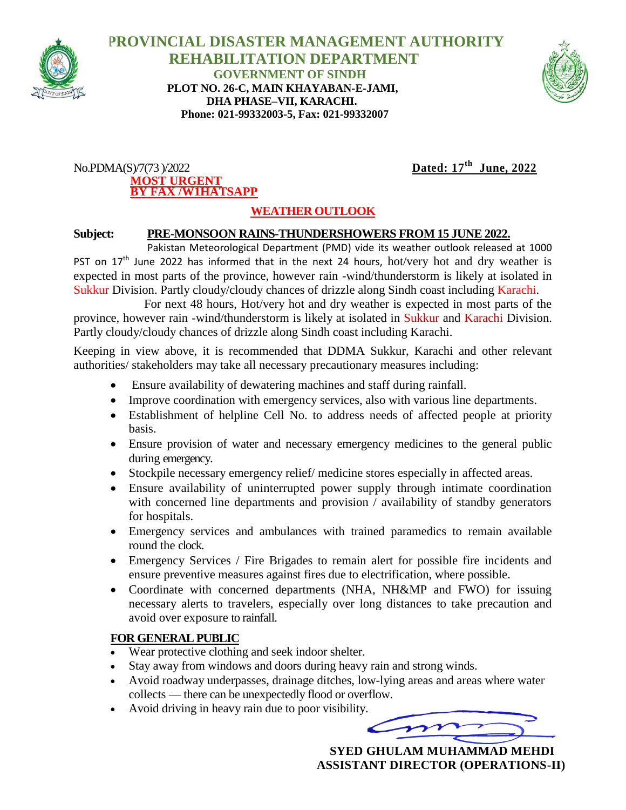

 **PROVINCIAL DISASTER MANAGEMENT AUTHORITY REHABILITATION DEPARTMENT GOVERNMENT OF SINDH PLOT NO. 26-C, MAIN KHAYABAN-E-JAMI, DHA PHASE–VII, KARACHI. Phone: 021-99332003-5, Fax: 021-99332007**



#### $No.PDMA(S)/7(73)/2022$ **MOST URGENT BY FAX /W1HATSAPP**

# Dated:  $17<sup>th</sup>$  June, 2022

## **WEATHER OUTLOOK**

### **Subject: PRE-MONSOON RAINS-THUNDERSHOWERS FROM 15 JUNE 2022.**

Pakistan Meteorological Department (PMD) vide its weather outlook released at 1000 PST on  $17<sup>th</sup>$  June 2022 has informed that in the next 24 hours, hot/very hot and dry weather is expected in most parts of the province, however rain -wind/thunderstorm is likely at isolated in Sukkur Division. Partly cloudy/cloudy chances of drizzle along Sindh coast including Karachi.

 For next 48 hours, Hot/very hot and dry weather is expected in most parts of the province, however rain -wind/thunderstorm is likely at isolated in Sukkur and Karachi Division. Partly cloudy/cloudy chances of drizzle along Sindh coast including Karachi.

Keeping in view above, it is recommended that DDMA Sukkur, Karachi and other relevant authorities/ stakeholders may take all necessary precautionary measures including:

- Ensure availability of dewatering machines and staff during rainfall.
- Improve coordination with emergency services, also with various line departments.
- Establishment of helpline Cell No. to address needs of affected people at priority basis.
- Ensure provision of water and necessary emergency medicines to the general public during emergency.
- Stockpile necessary emergency relief/ medicine stores especially in affected areas.
- Ensure availability of uninterrupted power supply through intimate coordination with concerned line departments and provision / availability of standby generators for hospitals.
- Emergency services and ambulances with trained paramedics to remain available round the clock.
- Emergency Services / Fire Brigades to remain alert for possible fire incidents and ensure preventive measures against fires due to electrification, where possible.
- Coordinate with concerned departments (NHA, NH&MP and FWO) for issuing necessary alerts to travelers, especially over long distances to take precaution and avoid over exposure to rainfall.

#### **FOR GENERAL PUBLIC**

- Wear protective clothing and seek indoor shelter.
- Stay away from windows and doors during heavy rain and strong winds.
- Avoid roadway underpasses, drainage ditches, low-lying areas and areas where water collects — there can be unexpectedly flood or overflow.
- Avoid driving in heavy rain due to poor visibility.

 $\boldsymbol{r}$ 

 **SYED GHULAM MUHAMMAD MEHDI ASSISTANT DIRECTOR (OPERATIONS-II)**